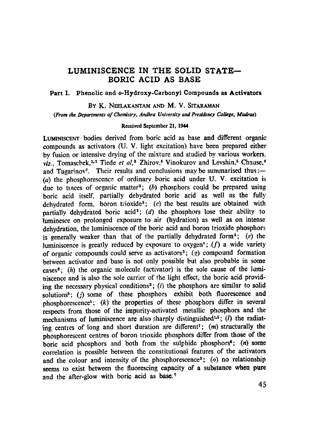## LUMINISCENCE IN THE SOLID STATE— BORIC ACID AS BASE

#### **Part I. Phenolic and o-Hydroxy-Carbonyl Compounds as Activators**

BY K. NEELAKANTAM AND M. V. SITARAMAN

*(From the Departments of Chemistry, Andhra University and Presidency College, Madras)*

#### **Received September 21, 1944**

LuMINISCENT bodies derived from boric acid as base and different organic compounds as activators (U. V. light excitation) have been prepared either by fusion or intensive drying of the mixture and studied by various workers, viz., Tomascbek,<sup>1,2</sup> Tiede et al,<sup>3</sup> Zhirov,<sup>4</sup> Vinokurov and Levshin,<sup>5</sup> Chause,<sup>6</sup> and Tugarinov<sup>7</sup>. Their results and conclusions may be summarised thus :- $(a)$  the phosphorescence of ordinary boric acid under U. V. excitation is due to traces of organic matter<sup>3</sup>; (b) phosphors could be prepared using boric acid itself, partially dehydrated boric acid as well as the fully dehydrated form, boron trioxide<sup>3</sup>; (c) the best results are obtained with partially dehydrated boric acid<sup>3</sup>; (d) the phosphors lose their ability to luminesce on prolonged exposure to air (hydration) as well as on intense dehydration, the luminiscence of the boric acid and boron trioxide phosphors is generally weaker than that of the partially dehydrated form<sup>3</sup>; (e) the luminiscence is greatly reduced by exposure to oxygen<sup>6</sup>; ( $f$ ) a wide variety of organic compounds could serve as activators<sup>3</sup>; ( $q$ ) compound formation between activator and base is not only possible but also probable in some cases<sup>3</sup>; (h) the organic molecule (activator) is the sole cause of the luminiscence and is also the sole carrier of the light effect, the boric acid providing the necessary physical conditions<sup>3</sup>; (i) the phosphors are similar to solid solutions<sup>5</sup>; (i) some of these phosphors exhibit both fluorescence and phosphorescence<sup>5</sup>; (k) the properties of these phosphors differ in several respects from those of the impurity-activated metallic phosphors and the mechanisms of luminiscence are also sharply distinguished<sup>1,5</sup>; (*l*) the radiating centres of long and short duration are different<sup>7</sup>; (*m*) structurally the phosphorescent centres of boron trioxide phosphors differ from those of the boric acid phosphors and both from the sulphide phosphors<sup>4</sup>;  $(n)$  some correlation is possible between the constitutional features of the activators and the colour and intensity of the phosphorescence<sup>3</sup>: ( $o$ ) no relationship seems to exist between the fluorescing capacity of a substance when pure and the after-glow with boric acid as base.'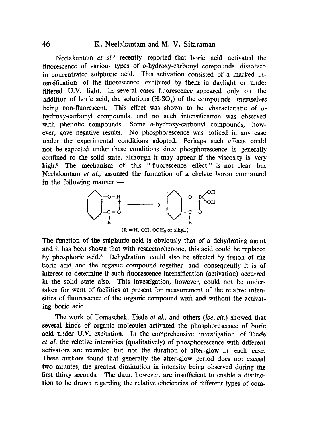### 46 K. Neelakantam and M. V. Sitaraman

Neelakantam *et ol*.<sup>8</sup> recently reported that boric acid activated the fluorescence of various types of o-hydroxy-carbonyl compounds dissolved in concentrated sulphuric acid. This activation consisted of a marked intensification of the fluorescence exhibited by them in daylight or under filtered U.V. light. In several cases fluorescence appeared only on the addition of boric acid, the solutions  $(H_2SO_4)$  of the compounds themselves being non-fluorescent. This effect was shown to be characteristic of  $\rho$ hydroxy-carbonyl compounds. and no such intensification was observed with phenolic compounds. Some *o*-hydroxy-carbonyl compounds, however, gave negative results. No phosphorescence was noticed in any case under the experimental conditions adopted. Perhaps such effects could not be expected under these conditions since phosphorescence is generally confined to the solid state, although it may appear if the viscosity is very high.<sup>9</sup> The mechanism of this "fluorescence effect" is not clear but Neelakantam *et al.,* assumed the formation of a chelate boron compound in the following manner :—



 $(R = H, OH, OCH<sub>3</sub>$  or alkyl.)

The function of the sulphuric acid is obviously that of a dehydrating agent and it has been shown that with resacetophenone, this acid could be replaced by phosphoric acid.<sup>8</sup> Dehydration, could also be effected by fusion of the boric acid and the organic compound together and consequently it is of interest to determine if such fluorescence intensification (activation) occurred in the solid state also. This investigation, however, could not he undertaken for want of facilities at present for measurement of the relative intensities of fluorescence of the organic compound with and without the activating boric acid.

The work of Tomaschek, Tiede *et al.,* and others *(loc. cit.)* showed that several kinds of organic molecules activated the phosphorescence of boric acid under U.V. excitation. In the comprehensive investigation of Tiede *et al.* the relative intensities (qualitatively) of phosphorescence with different activators are recorded but not the duration of after-glow in each case. These authors found that generally the after-glow period does not exceed two minutes, the greatest diminution in intensity being observed during the first thirty seconds. The data, however, are insufficient to enable a distinction to be drawn regarding the relative efficiencies of different types of com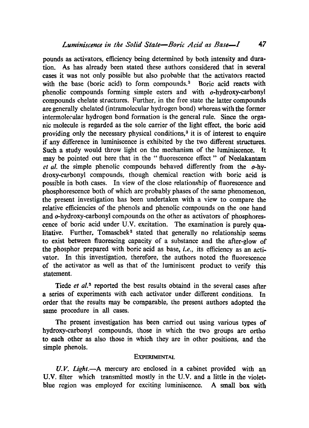pounds as activators, efficiency being determined by both intensity and duration. As has already been stated these authors considered that in several cases it was not only possible but also probable that the activators reacted with the base (boric acid) to form compounds.<sup>3</sup> Boric acid reacts with phenolic compounds forming simple esters and with o-hydroxy-carbonyl compounds chelate structures. Further, in the free state the latter compounds are generally chelated (intramolecular hydrogen bond) whereas with the former intermolecular hydrogen bond formation is the general rule. Since the organic molecule is regarded as the sole carrier of the light effect, the boric acid providing only the necessary physical conditions, $<sup>3</sup>$  it is of interest to enquire</sup> if any difference in luminiscence is exhibited by the two different structures. Such a study would throw light on the mechanism of the luminiscence. It may be pointed out here that in the " fluorescence effect" of Neelakantam *et al.* the simple phenolic compounds behaved differently from the o-hydroxy-carbonyl compounds, though chemical reaction with boric acid is possible in both cases. In view of the close relationship of fluorescence and phosphorescence both of which are probably phases of the same phenomenon, the present investigation has been undertaken with a view to compare the relative efficiencies of the phenols and phenolic compounds on the one hand and o-hydroxy-carbonyl compounds on the other as activators of phosphorescence of boric acid under U.V. excitation. The examination is purely qualitative. Further, Tomaschek<sup>2</sup> stated that generally no relationship seems to exist between fluorescing capacity of a substance and the after-glow of the phosphor prepared with boric acid as base, *i.e.,* its efficiency as an activator. In this investigation, therefore, the authors noted the fluorescence of the activator as well as that of the luminiscent product to verify this statement.

Tiede *et a1. <sup>3</sup>* reported the best results obtaind in the several cases after a series of experiments with each activator under different conditions. In order that the results may be comparable, the present authors adopted the same procedure in all cases.

The present investigation has been carried out using various types of hydroxy-carbonyl compounds, those in which the two groups are ortho to each other as also those in which they are in other positions, and the simple phenols.

#### **EXPERIMENTAL**

*U.V. Light.—A* mercury arc enclosed in a cabinet provided with an U.V. filter which transmitted mostly in the U.V. and a little in the violetblue region was employed for exciting luminiscence. *A* small box with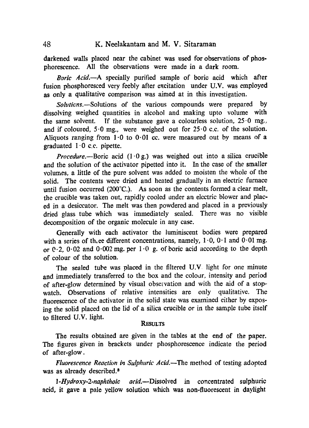darkened walls placed near the cabinet was used for observations of phosphorescence. All the observations were made in a dark room.

*Boric Acid.—A* specially purified sample of boric acid which after fusion phosphoresced very feebly after excitation under U.V. was employed as only a qualitative comparison was aimed at in this investigation.

*Soluticns.—Solutions* of the various compounds were prepared by dissolving weighed quantities in alcohol and making upto volume with the same solvent. If the substance gave a colourless solution,  $25.0$  mg., and if coloured,  $5.0$  mg., were weighed out for  $25.0$  c.c. of the solution. Aliquots ranging from  $1.0$  to  $0.01$  cc. were measured out by means of a graduated  $1.0$  c.c. pipette.

*Procedure.*—Boric acid (1.0 g.) was weighed out into a silica crucible and the solution of the activator pipetted into it. In the case of the smaller volumes, a little of the pure solvent was added to moisten the whole of the solid. The contents were dried and heated gradually in an electric furnace until fusion occurred  $(200^{\circ}C)$ . As soon as the contents formed a clear melt, the crucible was taken out, rapidly cooled under an electric blower and placed in a desiccator. The melt was then powdered and placed in a previously dried glass tube which was immediately sealed. There was no visible decomposition of the organic molecule in any case.

Generally with each activator the luminiscent bodies were prepared with a series of three different concentrations, namely,  $1.0$ ,  $0.1$  and  $0.01$  mg. or  $0.2$ ,  $0.02$  and  $0.002$  mg, per  $1.0$  g. of boric acid according to the depth of colour of the solution.

The sealed tube was placed in the filtered U.V. light for one minute and immediately transferred to the box and the colour, intensity and period of after-glow determined by visual observation and with the aid of a stop• watch. Observations of relative intensities are only qualitative. The fluorescence of the activator in the solid state was examined either by exposing the solid placed on the lid of a silica crucible or in the sample tube itself to filtered U.V. light.

#### **RESULTS**

The results obtained are given in the tables at the end of the paper. The figures given in brackets under phosphorescence indicate the period of after-glow.

*Fluorescence Reaction in Sulphuric Acid.—The* method of testing adopted was as already described.<sup>8</sup>

*I -Hydroxy-2-naphthoic* acid.—Dissolved in concentrated sulphuric acid, it gave a pale yellow solution which was non-fluorescent in daylight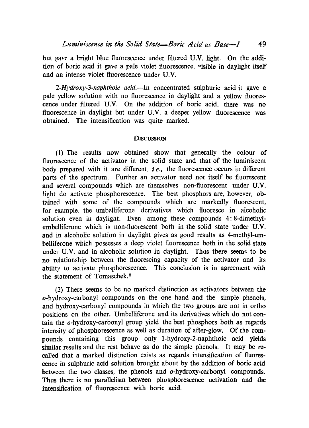but gave a bright blue fluorescence under filtered U.V. light. On the addition of boric acid it gave a pale violet fluorescence, visible in daylight itself and an intense violet fluorescence under U.V.

*2-Hydroxy-3-naphthoic acid.—In* concentrated sulphuric acid it gave a pale yellow solution with no fluorescence in daylight and a yellow fluorescence under filtered U.V. On the addition of boric acid, there was no fluorescence in daylight but under U.V. a deeper yellow fluorescence was obtained. The intensification was quite marked.

#### **DISCUSSION**

(1)The results now obtained show that generally the colour of fluorescence of the activator in the solid state and that of the luminiscent body prepared with it are different,  $i e$ ., the fluorescence occurs in different parts of the spectrum. Further an activator need not itself be fluorescent and several compounds which are themselves non-fluorescent under U.V. light do activate phosphorescence. The best phosphors are, however, obtained with some of the compounds which are markedly fluorescent, for example, the umbelliferone derivatives which fluoresce in alcoholic solution even in daylight. Even among these compounds 4: 8-dimethylumbelliferone which is non-fluorescent both in the solid state under U.V. and in alcoholic solution in daylight gives as good results as 4-methyl-umhelliferone which possesses a deep violet fluorescence both in the solid state under U.V. and in alcoholic solution in daylight. Thus there seems to be no relationship between the fluorescing capacity of the activator and its ability to activate phosphorescence. This conclusion is in agreement with the statement of Tomaschek.<sup>2</sup>

(2) There seems to be no marked distinction as activators between the o-hydroxy-caibonyl compounds on the one hand and the simple phenols, and hydroxy-carbonyl compounds in which the two groups are not in ortho positions on the other. Umbelliferone and its derivatives which do not contain the o-hydroxy-carbonyl group yield the best phosphors both as regards intensity of phosphorescence as well as duration of after-glow. Of the compounds containing this group only 1-hydroxy-2-naphthoic acid yields similar results and the rest behave as do the simple phenols. It may be recalled that a marked distinction exists as regards intensification of fluorescence in sulphuric acid solution brought about by the addition of boric acid between the two classes, the phenols and o-hydroxy-carbonyl compounds. Thus there is no parallelism between phosphorescence activation and the intensification of fluorescence with boric acid.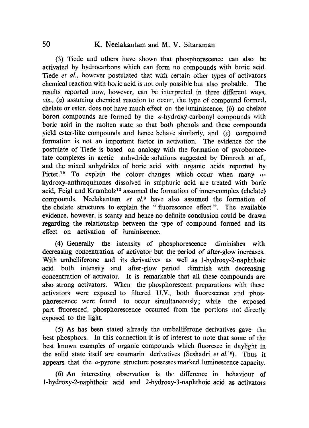## 50 K. Neelakantam and M. V. Sitaraman

(3) Tiede and others have shown that phosphorescence can also be activated by hydrocarbons which can form no compounds with boric acid. Tiede *et al.,* however postulated that with certain other types of activators chemical reaction with boric acid is not only possible but also probable. The results reported now, however, can be interpreted in three different ways, *viz., (a)* assuming chemical reaction to occur, the type of compound formed, chelate or ester, does not have much effect on the luminiscence.  $(b)$  no chelate boron compounds are formed by the o-hydroxy-carbonyl compounds with boric acid in the molten state so that both phenols and these compounds yield ester-like compounds and hence behave similarly, and (c) compound formation is not an important factor in activation. The evidence for the postulate of Tiede is based on analogy with the formation of pyroboracetate complexes in acetic anhydride solutions suggested by Dimroth *et al.,* and the mixed anhydrides of boric acid with organic acids reported by Pictet.<sup>12</sup> To explain the colour changes which occur when many  $\alpha$ hydroxy-anthraquinones dissolved in sulphuric acid are treated with boric acid, Feigl and Krumholz<sup>13</sup> assumed the formation of inner-complex (chelate) compounds. Neelakantam *et al.<sup>8</sup>* have also assumed the formation of the chelate structures to explain the " fluorescence effect ". The available evidence, however, is scanty and hence no definite conclusion could be drawn regarding the relationship between the type of compound formed and its effect on activation of luminiscence.

(4) Generally the intensity of phosphorescence diminishes with decreasing concentration of activator but the period of after-glow increases. With umbelliferone and its derivatives as well as 1-hydroxy-2-naphthoic acid both intensity and after-glow period diminish with decreasing concentration of activator. It is remarkable that all these compounds are also strong activators. When the phosphorescent preparations with these activators were exposed to filtered U.V., both fluorescence and phosphorescence were found to occur simultaneously; while the exposed part fluoresced, phosphorescence occurred from the portions not directly exposed to the light.

(5) As has been stated already the umbelliferone derivatives gave the best phosphors. In this connection it is of interest to note that some of the best known examples of organic compounds which fluoresce in daylight in the solid state itself are coumarin derivatives (Seshadri *et al.'°).* Thus it appears that the  $\alpha$ -pyrone structure possesses marked luminescence capacity.

(6) An interesting observation is the difference in behaviour of 1-bydroxy-2-naphthoic acid and 2-hydroxy-3-naphthoic acid as activators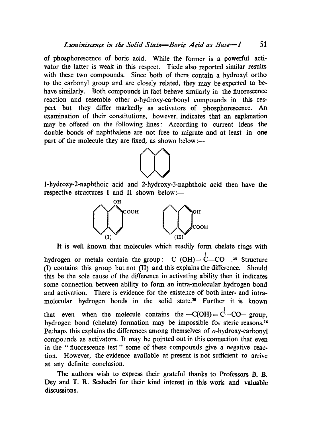of phosphorescence of boric acid. While the former is a powerful activator the latter is weak in this respect. Tiede also reported similar results with these two compounds. Since both of them contain a hydroxyl ortho to the carbonyl group and are closely related, they may be expected to behave similarly. Both compounds in fact behave similarly in the fluorescence reaction and resemble other o-hydroxy-carbonyl compounds in this respect but they differ markedly as activators of phosphorescence. An examination of their constitutions, however, indicates that an explanation may be offered on the following lines :—According to current ideas the double bonds of naphthalene are not free to migrate and at least in one part of the molecule they are fixed, as shown below:-- /\/



1-hydroxy-2-naphthoic acid and 2-hydroxy-3-naphthoic acid then have the respective structures I and II shown below :—



It is well known that molecules which readily form chelate rings with hydrogen or metals contain the group:  $-C$  (OH)  $= C$  -CO- $^{14}$  Structure (I) contains this group but not (II) and this explains the difference. Should this be the sole cause of the difference in activating ability then it indicates some connection between ability to form an intra-molecular hydrogen bond and activation. There is evidence for the existence of both inter- and intramolecular hydrogen bonds in the solid state.<sup>15</sup> Further it is known that even when the molecule contains the  $-C(OH) = C-CO$  group. hydrogen bond (chelate) formation may be impossible for steric reasons.<sup>14</sup> Perhaps this explains the differences among themselves of o-hydroxy-carbonyl compounds as activators. It may be pointed out in this connection that even in the "fluorescence test " some of these compounds give a negative reaction. However, the evidence available at present is not sufficient to arrive at any definite conclusion.

The authors wish to express their grateful thanks to Professors **B. B.** Dey and T. R. Seshadri for their kind interest in this work and valuable discussions.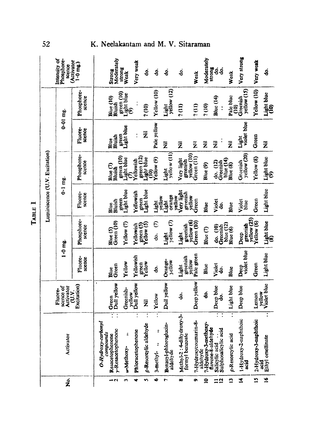|            |                                                          | Intensity of<br>Phosphore-<br>scence | <b>Activator</b><br>$1.0 \, mg.$ | Moderately<br>Strong                                                                               | strong<br>Weak                                    | Very weak             | ġ                                        | ġ                     | g                                      | දු                                          | Weak                            | Moderately                            | strong<br>g<br>ġ.                                                                   | Weak                                | Very strong                     | Very weak             | ġ.                             |
|------------|----------------------------------------------------------|--------------------------------------|----------------------------------|----------------------------------------------------------------------------------------------------|---------------------------------------------------|-----------------------|------------------------------------------|-----------------------|----------------------------------------|---------------------------------------------|---------------------------------|---------------------------------------|-------------------------------------------------------------------------------------|-------------------------------------|---------------------------------|-----------------------|--------------------------------|
|            |                                                          | $0.01$ mg                            | Phosphore-<br>scence             | Blue (10)<br>Bluish                                                                                | $\frac{\text{green (10)}}{\text{Light blue}}$ (9) |                       | (10)                                     | Yellow (10)           | yellow (12)<br>Light                   | 2(11)                                       | (11)                            | (10)                                  | Blue (14)<br>$\ddot{\cdot}$                                                         | Pale blue<br>$\widehat{a}$          | yellow (15)<br>Greenish         | Yellow (10)           | Light blue<br>(10)             |
| −<br>TABLE |                                                          |                                      | Fluore-<br>scence                | Bluish<br>Blue                                                                                     | Light blue<br>green                               | $\ddot{\cdot}$        | Ž                                        | Pale yellow           | ž                                      | Ž                                           | $\overline{\tilde{\mathbf{z}}}$ | Ž                                     | 艺                                                                                   | $\bar{\bar{z}}$                     | Light<br>violet blue            | Green                 | ž                              |
|            |                                                          |                                      | Phosphore-<br>scence             | Blue (7)<br>Bluish                                                                                 | green (10)<br>Light blue<br>$\frac{1}{2}$         | Yellowish             | green(12)<br>Light blue<br>$\widehat{e}$ | Yellow <sup>(9)</sup> | yellow (11)<br>Light                   | yellow (10)<br>Very light<br>greenish       | Green(11)                       | Blue (9)                              | blue $(14)$<br>do. (12)<br>Greenish                                                 | Blue(8)                             | yellow (20)<br>Greenish         | Yellow (8)            | $Light blue$<br>(9)            |
|            | Luminiscence (U.V. Excitation)                           | $0.1$ mg.                            | Fluore-<br>scence                | Bluish<br>Blue                                                                                     | Light blue<br>green                               | Yellowish             | green<br>Light blue                      | Light                 | orange<br>yellow<br>yellow<br>Light    | Very light<br>greenish<br>yellow            | Green                           | <b>Blue</b>                           | Violet<br>ತ್ರ                                                                       | <b>Blue</b>                         | Violet<br>blue                  | Green                 | Light blue                     |
|            |                                                          | $1.0$ mg.                            | Phosphore-<br>scence             | Green (10)<br>Blue (5)                                                                             | Yellow <sub>(7)</sub>                             | Yellowish             | Yellow (5)<br>green (5)                  | $\epsilon$<br>ġ       | yellow (7)<br>Light                    | yellow (6)<br>greenish<br>Light             | Green (10)                      | $Bl$ ue (7)                           | do. (10)<br>Greenish                                                                | blue(12)<br>Blue (6)                | yellow (25)<br>greenish<br>Deep | Yellow (6)            | $Light blue$ $(8)$             |
|            |                                                          |                                      | Fluore-<br>scence                | Green<br>Blue                                                                                      | Yellow                                            | Yellowish             | green<br>Yellow                          | ġ                     | Orange-<br>yellow                      | greenish<br>yellow<br>Light                 | Pale green                      | Blue                                  | Violet<br>န္ဒ                                                                       | Blue                                | violet blue<br>Deep             | Green                 | Light blue                     |
|            | Excitation)<br>scence of<br>Activator<br>Fluore-<br>iv.p |                                      |                                  | Dull yellow<br>Green                                                                               | Greenish-                                         | Dull yellow<br>yellow | $\bar{z}$                                | Yellow                | Dull yellow                            | ġ                                           | Deep yellow                     | ġ                                     | Deep blue<br>ġ                                                                      | Light blue                          | Deep blue                       | yellow<br>Lemon       | Violet blue                    |
|            |                                                          | Activator                            |                                  | Ţ<br>$\ddot{\cdot}$<br>honyl<br>y-Resacetophenone<br>compounds<br>Resacetophenone<br>0-Hydroxy-car | î<br>w-Methoxy-                                   | Phloracetophenone     | g-Resorcylic aldehyde                    | t,<br>3-methyl-       | ucin-<br>Benzoyl-phlorogly<br>aldehyde | Methyl-2: 4-dihydroxy-3-<br>formyl benzoate | 7-Hydroxycoumarin-8-            | hoxy-<br>7-Hydroxy-3-metl<br>aldehyde | $\ddot{\cdot}$<br>÷<br>flavone-8-aldehyde<br>Sulphosalicylic acid<br>Salicylic acid | $\ddot{\cdot}$<br>g-Resorcylic acid | 1-Hydroxy-2-naphthoic<br>acid   | 2-Hydroxy-3-naphthoic | Ξ<br>Ethyl orsellinate<br>acid |
|            |                                                          | $\hat{\mathbf{z}}$                   |                                  | - 2                                                                                                | w                                                 | 4                     | n                                        | o                     | r                                      | œ                                           | ຸ                               | ≘                                     | $\Xi$ $\Xi$                                                                         | $\mathbf{r}$                        | Î                               | $\tilde{a}$           | $\tilde{a}$                    |

## K. Neelakantam and M. V. Sitaraman

 $52$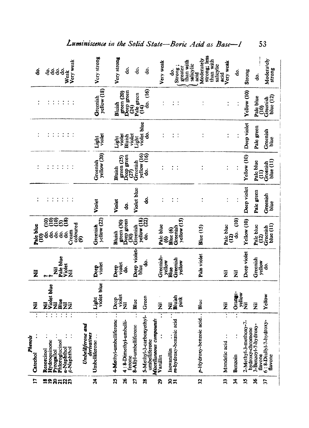|                             | Phenols                                                                                |                      |                            |                                            |                      |                                      |                                             |                                                          |                                                              |
|-----------------------------|----------------------------------------------------------------------------------------|----------------------|----------------------------|--------------------------------------------|----------------------|--------------------------------------|---------------------------------------------|----------------------------------------------------------|--------------------------------------------------------------|
| $\mathbf{r}$                | Ξ<br>Catechol                                                                          | Ž                    | $\bar{z}$                  | Pale blue<br>$\widehat{a}$                 |                      |                                      | $\ddot{\cdot}$                              | ÷                                                        | ġ.                                                           |
| ឨឨឨឨឨឨ                      | Ţ<br>Ξ<br>$\ddot{\cdot}$<br>Hydroquinone<br>Pyrogallol<br>Phloroglucinol<br>Resorcinol | Violet blue<br>ž     | $\bar{z}$                  | වූදිදුදි<br>$\frac{6}{10}$<br>Ś.<br>ġ<br>용 |                      | $\ddot{\cdot}$<br>$\ddot{\cdot}$     | $\ddot{\cdot}$<br>$\ddot{\phantom{a}}$<br>÷ | $\ddot{\cdot}$<br>$\ddot{\phantom{a}}$<br>$\ddot{\cdot}$ | gg<br>ė.                                                     |
|                             | Τ<br>Τ<br>$\ddot{\cdot}$<br>a-Naphthol<br>6-Naphthol                                   | .<br>Zåzz            | Pale blue<br>Violet<br>Nil | coloured<br>Cream<br>용<br>Ś.               | rritti               | $\ddot{\cdot}$<br>$\ddot{\cdot}$     | $\ddot{\cdot}$<br>$\ddot{\phantom{a}}$      | $\ddot{\cdot}$<br>$\ddot{\cdot}$<br>$\ddot{\cdot}$       | Weak<br>Very weak<br>÷.                                      |
| Z4                          | $\overline{\cdot}$<br>Umbelliferone and<br>dertvatives<br>Umbelliferone.               | Light<br>violet blue | Deep<br>violet             | yellow (22)<br>Greenish<br>ම               | Violet               | Greenish                             | Light                                       | <b>Greenish</b>                                          | Very strong                                                  |
| $\boldsymbol{z}$            | 4-Methyl-umbelliferone                                                                 | Deep                 | Deep                       | Bluish                                     | Violet               | yellow (20)<br><b>Bluish</b>         | violet<br>Light                             | yellow (18)<br>Bluish                                    | Very strong                                                  |
| 26                          | 4:8-Dimethyl-umbelli-                                                                  | violet<br>Nil        | violet<br>၌                | Deep green<br>(30)<br>green (30)           | ခွ                   | Deep green<br>$(27)$<br>green (25)   | violet<br>Bluish                            | green (20)                                               | ġ.                                                           |
| 21                          | 8-Allyl-umbelliferone<br>ferone                                                        | Blue                 | Deep violet-               | Greenish                                   | Violet blue          | Greenish                             | violet<br>Light                             | Deep green<br>(24)<br>Pale green<br>(14)                 | ġ                                                            |
| $\boldsymbol{z}$            | 5-Methyl-3-carboxyethyl-<br>umbelliferone                                              | Green                | ş<br>blue                  | $y$ ellow $(18)$<br>do. $(22)$             | န္ပ                  | $\widetilde{a}$<br>yellow (16)<br>දු | violet blue<br>၌                            | $\mathfrak{S}$<br>ġ                                      | ġ.                                                           |
| 29                          | Miscellaneous compounds<br>Vanillin                                                    | $\bar{\bar{z}}$      | Greenish-                  | Pale blue                                  | $\ddot{\cdot}$       |                                      |                                             | $\ddot{\cdot}$                                           | Very weak                                                    |
| ន្លុ <sub>ត</sub>           | m-hydroxy-benzoic acid<br>Isovanillin                                                  | Zij<br>Bluish        | Greenish<br>yellow<br>Blue | Blue (6)<br>ତ୍ର                            | $\ddot{\phantom{0}}$ | ÷                                    | $\ddot{\cdot}$                              | $\ddot{\cdot}$                                           | ခွဲ                                                          |
|                             |                                                                                        | pink                 | yellow                     | yellow (15)<br>Greenish                    |                      | $\ddot{\phantom{1}}$                 |                                             | $\ddot{\cdot}$                                           | than with<br>Strong;<br>greater                              |
| $\mathfrak{L}$              | p-Hydroxy-benzoic acid                                                                 | Blue                 | Pale violet                | <b>Blue</b> (15)                           | $\ddot{\cdot}$       |                                      |                                             |                                                          | strong; less<br>Moderately<br>than with<br>salicylic<br>acid |
| $\boldsymbol{\mathfrak{B}}$ | Ξ<br>Mandelic acid                                                                     | $\bar{\bar{z}}$      | Ξ                          | Pale blue<br>$\mathbf{a}$                  | $\vdots$             |                                      | $\ddot{\cdot}$                              | $\ddot{\cdot}$                                           | Very weak<br>salicylic<br>acid                               |
| $\frac{4}{3}$               | $\ddot{\cdot}$<br><b>Benzoin</b>                                                       | Orange-              | $\bar{\bar{z}}$            | $\widehat{=}$<br>န္ပ                       |                      |                                      |                                             |                                                          | <u>ද</u>                                                     |
| æ                           | hoxy-7-<br>hydroxy-chromone<br>2-Methyl-3-met                                          | yellow<br>Nil        | Deep violet                | Yellow (10)                                | Deep violet          | Yellow (10)                          | Deep violet                                 | Yellow (10)                                              | Strong                                                       |
| æ                           | 3-Benzoyl-7-hydroxy-<br>flavone                                                        | $\bar{\bar{z}}$      | Greenish                   | Pale blue<br>$\widehat{a}$                 | Pale green           | Pale blue<br>$\widehat{\Xi}$         | Pale green                                  | Pale blue                                                | ģ.                                                           |
| $\mathfrak{L}$              | ydroxy-<br>6: 8-Diallyl-7-hy<br>flavone                                                | Yellow               | yellow<br>දු               | blue $(11)$<br>Greenish                    | Greenish<br>blue     | blue(11)<br>Greenish                 | Greenish<br>blue                            | blue $(12)$<br>Greenish<br>$\widehat{\mathbf{e}}$        | Moderately<br>strong                                         |
|                             |                                                                                        |                      |                            |                                            |                      |                                      |                                             |                                                          |                                                              |

## Luminiscence in the Solid State-Boric Acid as Base-I

53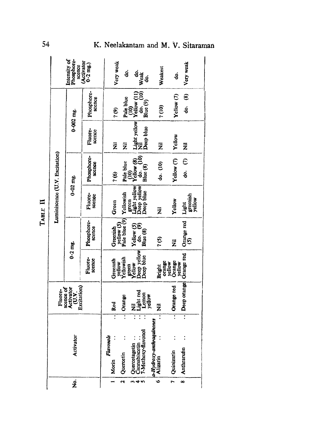|                                | Intensity of<br>Phosphore-<br>scence           | (A <sub>citvator</sub><br>0.2 mg.) | Very weak                 | န္ပ                             | do.<br>Weak<br>ခွဲ                                                                                                                                                                        | Weakest                              | ġ                                    | Very weak                         |
|--------------------------------|------------------------------------------------|------------------------------------|---------------------------|---------------------------------|-------------------------------------------------------------------------------------------------------------------------------------------------------------------------------------------|--------------------------------------|--------------------------------------|-----------------------------------|
|                                | $0.002$ mg.                                    | Phosphore-<br>scence               | ê,                        |                                 |                                                                                                                                                                                           | (10)                                 | Yellow (7)                           | $\widehat{\mathbf{e}}$<br>ė.      |
|                                |                                                | Fluore-<br>scence                  | ž                         |                                 | Nil<br>Light yellow Yellow (11)<br>Nil<br>Deep blue Blue (9)<br>Deep blue Blue (9)                                                                                                        | Ż                                    | Yellow                               | 艺                                 |
|                                |                                                | Phosphore-<br>scence               | $\frac{6}{3}$             | Pale blue                       | $\begin{array}{c}\n(10) \\ \text{Yellow (8)} \\ \text{do.} \\ \text{Blue (8)}\n\end{array}$                                                                                               | do. (10)                             | Yellow <sub>(7)</sub>                | $\phi$ . (7)                      |
| Luminiscence (U.V. Excitation) | $0.02$ mg.                                     | Fluore-<br>scence                  | Green                     | Yellowish                       | $\begin{array}{c}\n\mathbf{green} \\ [ \text{Light yellow} ]\n\end{array}$<br>$\begin{array}{c}\n1.2 \text{ depth} \\ 1.2 \text{ depth} \\ - \text{ depth} \\ - \text{blue}\n\end{array}$ | $\overline{\overline{z}}$            | Yellow                               | greenish<br>yellow<br>Light       |
|                                |                                                | Phosphore-<br>scence               | Greenish                  | yellow (5)<br>Pale blue (9)     | Yellow $(5)$<br>do. $(9)$<br>Blue $(8)$                                                                                                                                                   | $\frac{1}{2}$                        | 艺                                    | Orange red<br>(5)                 |
|                                | $0.2$ mg.                                      | Fluore-<br>scence                  | Greensh                   | yellow<br>Yellowish             | Deep yellow<br>Deep blue<br>green<br>Yellow                                                                                                                                               | <b>Bright</b>                        | orange<br>yellow<br>Orange<br>yellow | Orange red                        |
| Fluore-                        | Activator<br>(U.V.<br>Excitation)<br>scence of |                                    | Red                       | Orange                          | Nil<br>Light red<br>Lemon<br>yellow                                                                                                                                                       | Ż                                    | Orange red                           | Deep orange                       |
| Activator                      |                                                |                                    | <b>Flavonols</b><br>Morin | $\overline{\cdot}$<br>Quercetin | $\ddot{\cdot}$<br>Quercetagetin<br>Cannabiscetin<br>7-Methoxy-flavonol                                                                                                                    | a-Hydroxy-anthraquinones<br>Alizatin | Quinizarin                           | $\overline{\cdot}$<br>Anthrarufin |
|                                |                                                |                                    | 2                         | 4<br>n                          | ढ                                                                                                                                                                                         | $\overline{r}$                       | 8                                    |                                   |

TABLE II

54

# K. Neelakantam and M. V. Sitaraman